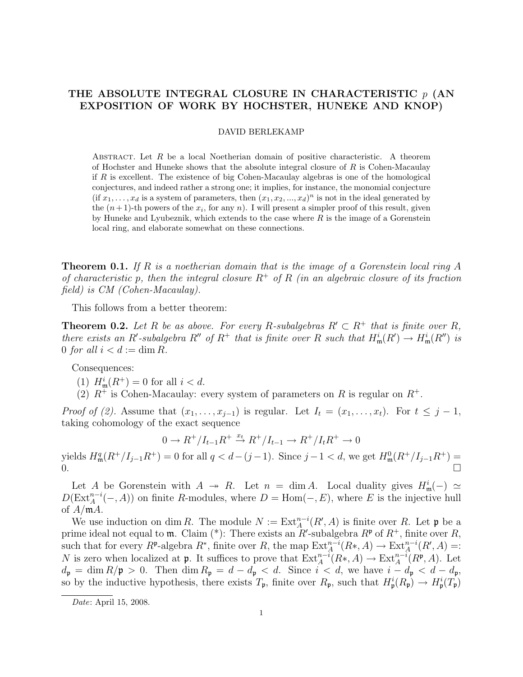## THE ABSOLUTE INTEGRAL CLOSURE IN CHARACTERISTIC  $p$  (AN EXPOSITION OF WORK BY HOCHSTER, HUNEKE AND KNOP)

## DAVID BERLEKAMP

ABSTRACT. Let R be a local Noetherian domain of positive characteristic. A theorem of Hochster and Huneke shows that the absolute integral closure of  $R$  is Cohen-Macaulay if  $R$  is excellent. The existence of big Cohen-Macaulay algebras is one of the homological conjectures, and indeed rather a strong one; it implies, for instance, the monomial conjecture  $(\text{if } x_1, \ldots, x_d \text{ is a system of parameters, then } (x_1, x_2, \ldots, x_d)^n \text{ is not in the ideal generated by }$ the  $(n+1)$ -th powers of the  $x_i$ , for any n). I will present a simpler proof of this result, given by Huneke and Lyubeznik, which extends to the case where  $R$  is the image of a Gorenstein local ring, and elaborate somewhat on these connections.

**Theorem 0.1.** If R is a noetherian domain that is the image of a Gorenstein local ring A of characteristic p, then the integral closure  $R^+$  of R (in an algebraic closure of its fraction field) is CM (Cohen-Macaulay).

This follows from a better theorem:

**Theorem 0.2.** Let R be as above. For every R-subalgebras  $R' \subset R^+$  that is finite over R, there exists an R'-subalgebra R'' of  $R^+$  that is finite over R such that  $H^i_{\mathfrak{m}}(R') \to H^i_{\mathfrak{m}}(R'')$  is 0 for all  $i < d := \dim R$ .

Consequences:

(1)  $H_{\mathfrak{m}}^{i}(R^{+}) = 0$  for all  $i < d$ .

(2)  $R^+$  is Cohen-Macaulay: every system of parameters on R is regular on  $R^+$ .

*Proof of (2).* Assume that  $(x_1, \ldots, x_{j-1})$  is regular. Let  $I_t = (x_1, \ldots, x_t)$ . For  $t \leq j-1$ , taking cohomology of the exact sequence

$$
0 \to R^+/I_{t-1}R^+ \stackrel{x_t}{\to} R^+/I_{t-1} \to R^+/I_tR^+ \to 0
$$

yields  $H_{\mathfrak{m}}^q(R^+/I_{j-1}R^+) = 0$  for all  $q < d-(j-1)$ . Since  $j-1 < d$ , we get  $H_{\mathfrak{m}}^0(R^+/I_{j-1}R^+) =$  $\frac{1}{2}$ .

Let A be Gorenstein with  $A \rightarrow R$ . Let  $n = \dim A$ . Local duality gives  $H^i_{\mathfrak{m}}(-) \simeq$  $D(\text{Ext}_{A}^{n-i}(-, A))$  on finite R-modules, where  $D = \text{Hom}(-, E)$ , where E is the injective hull of  $A/\mathfrak{m}A$ .

We use induction on dim R. The module  $N := Ext_A^{n-i}(R', A)$  is finite over R. Let  $\mathfrak p$  be a prime ideal not equal to  $\mathfrak{m}$ . Claim (\*): There exists an  $R'$ -subalgebra  $R^{\mathfrak{p}}$  of  $R^+$ , finite over  $R$ , such that for every  $R^{\mathfrak{p}}$ -algebra  $R^*$ , finite over R, the map  $\mathrm{Ext}^{n-i}_A(R^*,A) \to \mathrm{Ext}^{n-i}_A(R',A) =:$ N is zero when localized at **p**. It suffices to prove that  $\text{Ext}_{A}^{n-i}(R*, A) \to \text{Ext}_{A}^{n-i}(R^{\mathfrak{p}}, A)$ . Let  $d_{\mathfrak{p}} = \dim R/\mathfrak{p} > 0$ . Then  $\dim R_{\mathfrak{p}} = d - d_{\mathfrak{p}} < d$ . Since  $i < d$ , we have  $i - d_{\mathfrak{p}} < d - d_{\mathfrak{p}}$ , so by the inductive hypothesis, there exists  $T_{\mathfrak{p}}$ , finite over  $R_{\mathfrak{p}}$ , such that  $H_{\mathfrak{p}}^{i}(R_{\mathfrak{p}}) \to H_{\mathfrak{p}}^{i}(T_{\mathfrak{p}})$ 

Date: April 15, 2008.